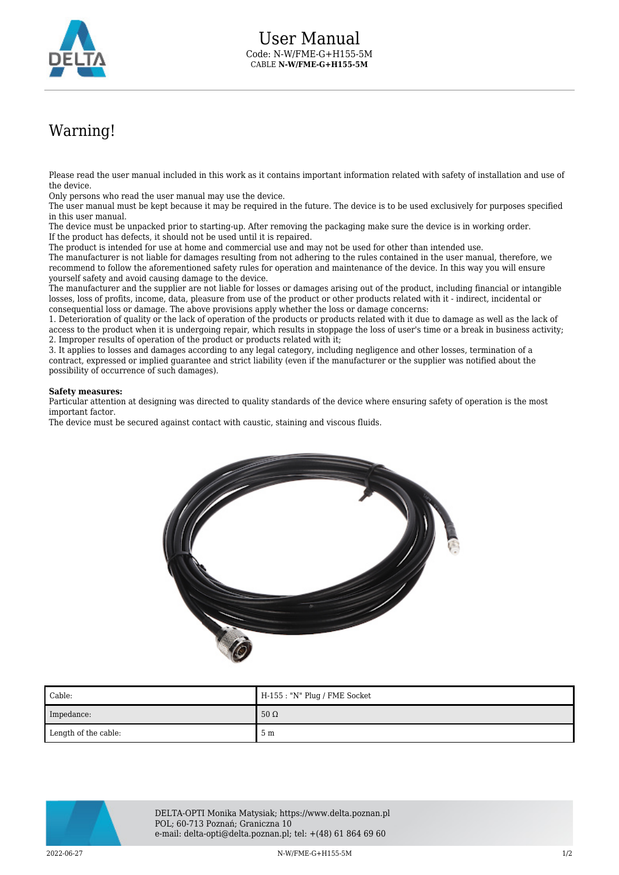

## Warning!

Please read the user manual included in this work as it contains important information related with safety of installation and use of the device.

Only persons who read the user manual may use the device.

The user manual must be kept because it may be required in the future. The device is to be used exclusively for purposes specified in this user manual.

The device must be unpacked prior to starting-up. After removing the packaging make sure the device is in working order. If the product has defects, it should not be used until it is repaired.

The product is intended for use at home and commercial use and may not be used for other than intended use.

The manufacturer is not liable for damages resulting from not adhering to the rules contained in the user manual, therefore, we recommend to follow the aforementioned safety rules for operation and maintenance of the device. In this way you will ensure yourself safety and avoid causing damage to the device.

The manufacturer and the supplier are not liable for losses or damages arising out of the product, including financial or intangible losses, loss of profits, income, data, pleasure from use of the product or other products related with it - indirect, incidental or consequential loss or damage. The above provisions apply whether the loss or damage concerns:

1. Deterioration of quality or the lack of operation of the products or products related with it due to damage as well as the lack of access to the product when it is undergoing repair, which results in stoppage the loss of user's time or a break in business activity; 2. Improper results of operation of the product or products related with it;

3. It applies to losses and damages according to any legal category, including negligence and other losses, termination of a contract, expressed or implied guarantee and strict liability (even if the manufacturer or the supplier was notified about the possibility of occurrence of such damages).

## **Safety measures:**

Particular attention at designing was directed to quality standards of the device where ensuring safety of operation is the most important factor.

The device must be secured against contact with caustic, staining and viscous fluids.



| Cable:               | $H-155: "N" Plug / FME Socket$ |
|----------------------|--------------------------------|
| Impedance:           | $50 \Omega$                    |
| Length of the cable: | 5 m                            |



DELTA-OPTI Monika Matysiak; https://www.delta.poznan.pl POL; 60-713 Poznań; Graniczna 10 e-mail: delta-opti@delta.poznan.pl; tel: +(48) 61 864 69 60